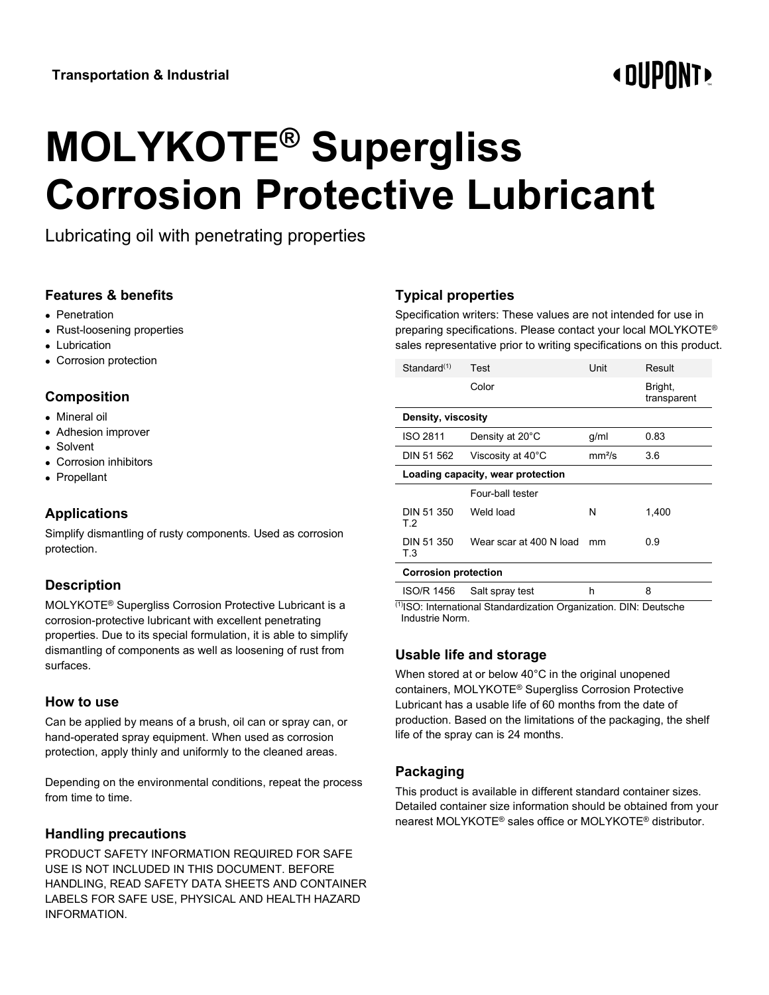# **« OUPONT**

# **MOLYKOTE® Supergliss Corrosion Protective Lubricant**

Lubricating oil with penetrating properties

#### **Features & benefits**

- Penetration
- Rust-loosening properties
- Lubrication
- Corrosion protection

#### **Composition**

- Mineral oil
- Adhesion improver
- Solvent
- Corrosion inhibitors
- Propellant

# **Applications**

Simplify dismantling of rusty components. Used as corrosion protection.

# **Description**

MOLYKOTE® Supergliss Corrosion Protective Lubricant is a corrosion-protective lubricant with excellent penetrating properties. Due to its special formulation, it is able to simplify dismantling of components as well as loosening of rust from surfaces.

#### **How to use**

Can be applied by means of a brush, oil can or spray can, or hand-operated spray equipment. When used as corrosion protection, apply thinly and uniformly to the cleaned areas.

Depending on the environmental conditions, repeat the process from time to time.

#### **Handling precautions**

PRODUCT SAFETY INFORMATION REQUIRED FOR SAFE USE IS NOT INCLUDED IN THIS DOCUMENT. BEFORE HANDLING, READ SAFETY DATA SHEETS AND CONTAINER LABELS FOR SAFE USE, PHYSICAL AND HEALTH HAZARD INFORMATION.

# **Typical properties**

Specification writers: These values are not intended for use in preparing specifications. Please contact your local MOLYKOTE® sales representative prior to writing specifications on this product.

| Standard(1)                       | Test                    | Unit               | Result                 |
|-----------------------------------|-------------------------|--------------------|------------------------|
|                                   | Color                   |                    | Bright,<br>transparent |
| Density, viscosity                |                         |                    |                        |
| ISO 2811                          | Density at 20°C         | g/ml               | 0.83                   |
| DIN 51 562                        | Viscosity at 40°C       | mm <sup>2</sup> /s | 3.6                    |
| Loading capacity, wear protection |                         |                    |                        |
|                                   | Four-ball tester        |                    |                        |
| DIN 51 350<br>T.2                 | Weld load               | N                  | 1,400                  |
| DIN 51 350<br>T.3                 | Wear scar at 400 N load | mm                 | 0.9                    |
| <b>Corrosion protection</b>       |                         |                    |                        |

ISO/R 1456 Salt spray test h 8 (1)ISO: International Standardization Organization. DIN: Deutsche

Industrie Norm.

#### **Usable life and storage**

When stored at or below 40°C in the original unopened containers, MOLYKOTE® Supergliss Corrosion Protective Lubricant has a usable life of 60 months from the date of production. Based on the limitations of the packaging, the shelf life of the spray can is 24 months.

#### **Packaging**

This product is available in different standard container sizes. Detailed container size information should be obtained from your nearest MOLYKOTE® sales office or MOLYKOTE® distributor.